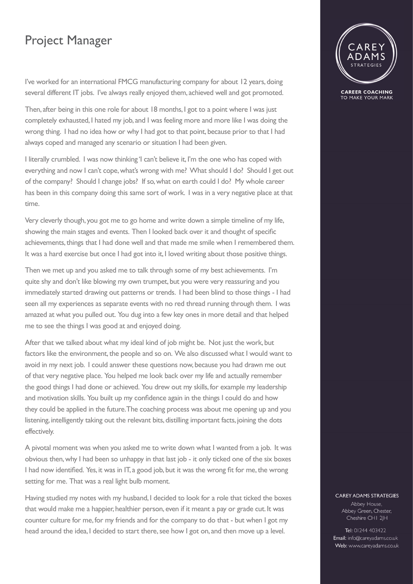## Project Manager

**CAREER COACHING** TO MAKE YOUR MARK

I've worked for an international FMCG manufacturing company for about 12 years, doing several different IT jobs. I've always really enjoyed them, achieved well and got promoted.

Then, after being in this one role for about 18 months, I got to a point where I was just completely exhausted, I hated my job, and I was feeling more and more like I was doing the wrong thing. I had no idea how or why I had got to that point, because prior to that I had always coped and managed any scenario or situation I had been given.

I literally crumbled. I was now thinking 'I can't believe it, I'm the one who has coped with everything and now I can't cope, what's wrong with me? What should I do? Should I get out of the company? Should I change jobs? If so, what on earth could I do? My whole career has been in this company doing this same sort of work. I was in a very negative place at that time.

Very cleverly though, you got me to go home and write down a simple timeline of my life, showing the main stages and events. Then I looked back over it and thought of specific achievements, things that I had done well and that made me smile when I remembered them. It was a hard exercise but once I had got into it, I loved writing about those positive things.

Then we met up and you asked me to talk through some of my best achievements. I'm quite shy and don't like blowing my own trumpet, but you were very reassuring and you immediately started drawing out patterns or trends. I had been blind to those things - I had seen all my experiences as separate events with no red thread running through them. I was amazed at what you pulled out. You dug into a few key ones in more detail and that helped me to see the things I was good at and enjoyed doing.

After that we talked about what my ideal kind of job might be. Not just the work, but factors like the environment, the people and so on. We also discussed what I would want to avoid in my next job. I could answer these questions now, because you had drawn me out of that very negative place. You helped me look back over my life and actually remember the good things I had done or achieved. You drew out my skills, for example my leadership and motivation skills. You built up my confidence again in the things I could do and how they could be applied in the future. The coaching process was about me opening up and you listening, intelligently taking out the relevant bits, distilling important facts, joining the dots effectively.

A pivotal moment was when you asked me to write down what I wanted from a job. It was obvious then, why I had been so unhappy in that last job - it only ticked one of the six boxes I had now identified. Yes, it was in IT, a good job, but it was the wrong fit for me, the wrong setting for me. That was a real light bulb moment.

Having studied my notes with my husband, I decided to look for a role that ticked the boxes that would make me a happier, healthier person, even if it meant a pay or grade cut. It was counter culture for me, for my friends and for the company to do that - but when I got my head around the idea, I decided to start there, see how I got on, and then move up a level.

## **CAREY ADAMS STRATEGIES**

Abbey House, Abbey Green, Chester, Cheshire CHI 2JH

Tel: 01244 403422 Email: info@careyadams.co.uk Web: www.careyadams.co.uk